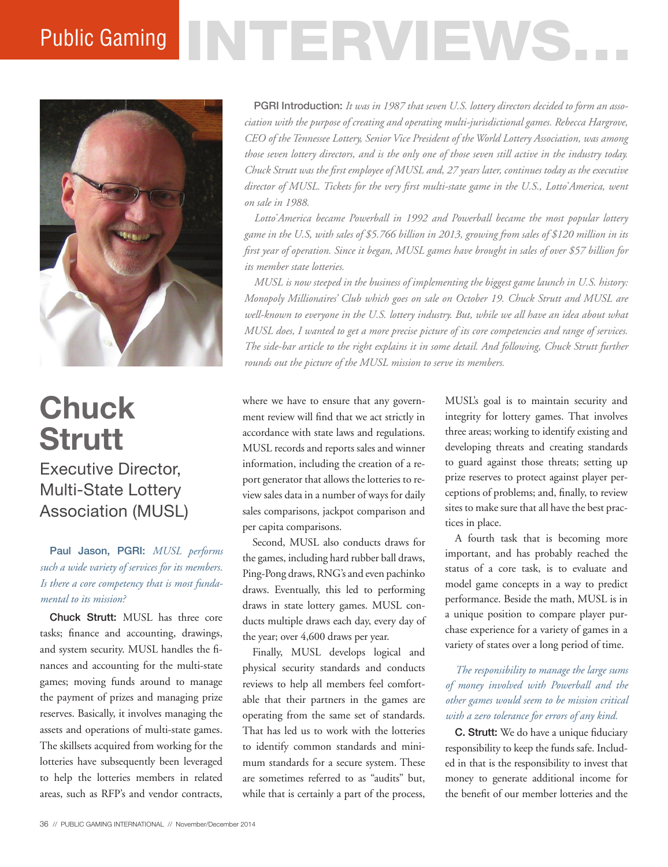# Public Gaming NTERVIEWS.



## **Chuck Strutt** Executive Director, Multi-State Lottery Association (MUSL)

Paul Jason, PGRI: *MUSL performs such a wide variety of services for its members. Is there a core competency that is most fundamental to its mission?* 

Chuck Strutt: MUSL has three core tasks; finance and accounting, drawings, and system security. MUSL handles the finances and accounting for the multi-state games; moving funds around to manage the payment of prizes and managing prize reserves. Basically, it involves managing the assets and operations of multi-state games. The skillsets acquired from working for the lotteries have subsequently been leveraged to help the lotteries members in related areas, such as RFP's and vendor contracts,

PGRI Introduction: *It was in 1987 that seven U.S. lottery directors decided to form an association with the purpose of creating and operating multi-jurisdictional games. Rebecca Hargrove, CEO of the Tennessee Lottery, Senior Vice President of the World Lottery Association, was among those seven lottery directors, and is the only one of those seven still active in the industry today. Chuck Strutt was the first employee of MUSL and, 27 years later, continues today as the executive director of MUSL. Tickets for the very first multi-state game in the U.S., Lotto\* America, went on sale in 1988.* 

*Lotto\* America became Powerball in 1992 and Powerball became the most popular lottery game in the U.S, with sales of \$5.766 billion in 2013, growing from sales of \$120 million in its first year of operation. Since it began, MUSL games have brought in sales of over \$57 billion for its member state lotteries.* 

*MUSL is now steeped in the business of implementing the biggest game launch in U.S. history: Monopoly Millionaires' Club which goes on sale on October 19. Chuck Strutt and MUSL are well-known to everyone in the U.S. lottery industry. But, while we all have an idea about what MUSL does, I wanted to get a more precise picture of its core competencies and range of services. The side-bar article to the right explains it in some detail. And following, Chuck Strutt further rounds out the picture of the MUSL mission to serve its members.* 

where we have to ensure that any government review will find that we act strictly in accordance with state laws and regulations. MUSL records and reports sales and winner information, including the creation of a report generator that allows the lotteries to review sales data in a number of ways for daily sales comparisons, jackpot comparison and per capita comparisons.

Second, MUSL also conducts draws for the games, including hard rubber ball draws, Ping-Pong draws, RNG's and even pachinko draws. Eventually, this led to performing draws in state lottery games. MUSL conducts multiple draws each day, every day of the year; over 4,600 draws per year.

Finally, MUSL develops logical and physical security standards and conducts reviews to help all members feel comfortable that their partners in the games are operating from the same set of standards. That has led us to work with the lotteries to identify common standards and minimum standards for a secure system. These are sometimes referred to as "audits" but, while that is certainly a part of the process,

MUSL's goal is to maintain security and integrity for lottery games. That involves three areas; working to identify existing and developing threats and creating standards to guard against those threats; setting up prize reserves to protect against player perceptions of problems; and, finally, to review sites to make sure that all have the best practices in place.

A fourth task that is becoming more important, and has probably reached the status of a core task, is to evaluate and model game concepts in a way to predict performance. Beside the math, MUSL is in a unique position to compare player purchase experience for a variety of games in a variety of states over a long period of time.

*The responsibility to manage the large sums of money involved with Powerball and the other games would seem to be mission critical with a zero tolerance for errors of any kind.*

C. Strutt: We do have a unique fiduciary responsibility to keep the funds safe. Included in that is the responsibility to invest that money to generate additional income for the benefit of our member lotteries and the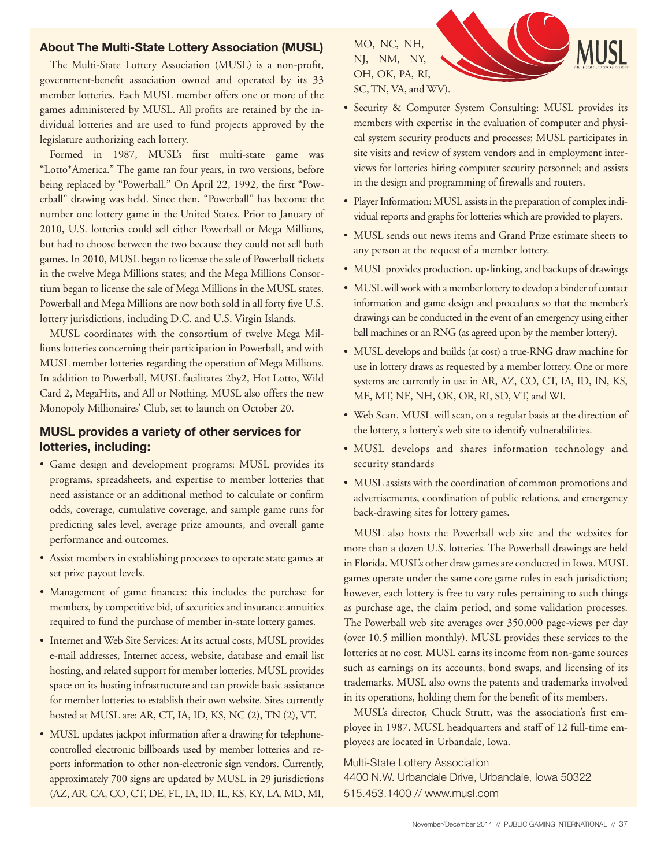#### **About The Multi-State Lottery Association (MUSL)**

The Multi-State Lottery Association (MUSL) is a non-profit, government-benefit association owned and operated by its 33 member lotteries. Each MUSL member offers one or more of the games administered by MUSL. All profits are retained by the individual lotteries and are used to fund projects approved by the legislature authorizing each lottery.

Formed in 1987, MUSL's first multi-state game was "Lotto\*America." The game ran four years, in two versions, before being replaced by "Powerball." On April 22, 1992, the first "Powerball" drawing was held. Since then, "Powerball" has become the number one lottery game in the United States. Prior to January of 2010, U.S. lotteries could sell either Powerball or Mega Millions, but had to choose between the two because they could not sell both games. In 2010, MUSL began to license the sale of Powerball tickets in the twelve Mega Millions states; and the Mega Millions Consortium began to license the sale of Mega Millions in the MUSL states. Powerball and Mega Millions are now both sold in all forty five U.S. lottery jurisdictions, including D.C. and U.S. Virgin Islands.

MUSL coordinates with the consortium of twelve Mega Millions lotteries concerning their participation in Powerball, and with MUSL member lotteries regarding the operation of Mega Millions. In addition to Powerball, MUSL facilitates 2by2, Hot Lotto, Wild Card 2, MegaHits, and All or Nothing. MUSL also offers the new Monopoly Millionaires' Club, set to launch on October 20.

#### **MUSL provides a variety of other services for lotteries, including:**

- Game design and development programs: MUSL provides its programs, spreadsheets, and expertise to member lotteries that need assistance or an additional method to calculate or confirm odds, coverage, cumulative coverage, and sample game runs for predicting sales level, average prize amounts, and overall game performance and outcomes.
- Assist members in establishing processes to operate state games at set prize payout levels.
- Management of game finances: this includes the purchase for members, by competitive bid, of securities and insurance annuities required to fund the purchase of member in-state lottery games.
- Internet and Web Site Services: At its actual costs, MUSL provides e-mail addresses, Internet access, website, database and email list hosting, and related support for member lotteries. MUSL provides space on its hosting infrastructure and can provide basic assistance for member lotteries to establish their own website. Sites currently hosted at MUSL are: AR, CT, IA, ID, KS, NC (2), TN (2), VT.
- MUSL updates jackpot information after a drawing for telephonecontrolled electronic billboards used by member lotteries and reports information to other non-electronic sign vendors. Currently, approximately 700 signs are updated by MUSL in 29 jurisdictions (AZ, AR, CA, CO, CT, DE, FL, IA, ID, IL, KS, KY, LA, MD, MI,

MO, NC, NH, NJ, NM, NY, OH, OK, PA, RI, SC, TN, VA, and WV).



- Security & Computer System Consulting: MUSL provides its members with expertise in the evaluation of computer and physical system security products and processes; MUSL participates in site visits and review of system vendors and in employment interviews for lotteries hiring computer security personnel; and assists in the design and programming of firewalls and routers.
- Player Information: MUSL assists in the preparation of complex individual reports and graphs for lotteries which are provided to players.
- MUSL sends out news items and Grand Prize estimate sheets to any person at the request of a member lottery.
- MUSL provides production, up-linking, and backups of drawings
- MUSL will work with a member lottery to develop a binder of contact information and game design and procedures so that the member's drawings can be conducted in the event of an emergency using either ball machines or an RNG (as agreed upon by the member lottery).
- MUSL develops and builds (at cost) a true-RNG draw machine for use in lottery draws as requested by a member lottery. One or more systems are currently in use in AR, AZ, CO, CT, IA, ID, IN, KS, ME, MT, NE, NH, OK, OR, RI, SD, VT, and WI.
- Web Scan. MUSL will scan, on a regular basis at the direction of the lottery, a lottery's web site to identify vulnerabilities.
- MUSL develops and shares information technology and security standards
- MUSL assists with the coordination of common promotions and advertisements, coordination of public relations, and emergency back-drawing sites for lottery games.

MUSL also hosts the Powerball web site and the websites for more than a dozen U.S. lotteries. The Powerball drawings are held in Florida. MUSL's other draw games are conducted in Iowa. MUSL games operate under the same core game rules in each jurisdiction; however, each lottery is free to vary rules pertaining to such things as purchase age, the claim period, and some validation processes. The Powerball web site averages over 350,000 page-views per day (over 10.5 million monthly). MUSL provides these services to the lotteries at no cost. MUSL earns its income from non-game sources such as earnings on its accounts, bond swaps, and licensing of its trademarks. MUSL also owns the patents and trademarks involved in its operations, holding them for the benefit of its members.

MUSL's director, Chuck Strutt, was the association's first employee in 1987. MUSL headquarters and staff of 12 full-time employees are located in Urbandale, Iowa.

#### Multi-State Lottery Association

4400 N.W. Urbandale Drive, Urbandale, Iowa 50322 515.453.1400 // www.musl.com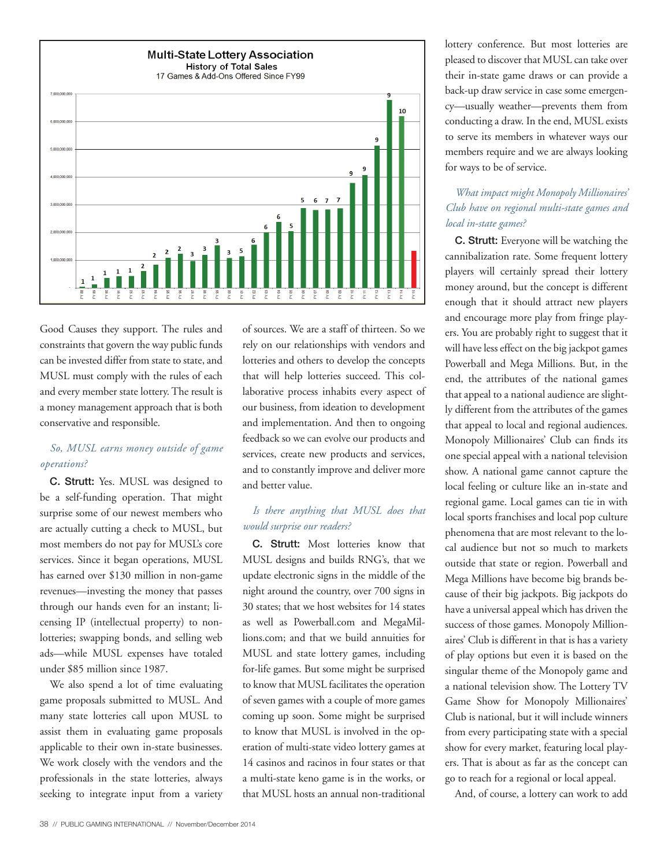

Good Causes they support. The rules and constraints that govern the way public funds can be invested differ from state to state, and MUSL must comply with the rules of each and every member state lottery. The result is a money management approach that is both conservative and responsible.

#### *So, MUSL earns money outside of game operations?*

C. Strutt: Yes. MUSL was designed to be a self-funding operation. That might surprise some of our newest members who are actually cutting a check to MUSL, but most members do not pay for MUSL's core services. Since it began operations, MUSL has earned over \$130 million in non-game revenues—investing the money that passes through our hands even for an instant; licensing IP (intellectual property) to nonlotteries; swapping bonds, and selling web ads—while MUSL expenses have totaled under \$85 million since 1987.

We also spend a lot of time evaluating game proposals submitted to MUSL. And many state lotteries call upon MUSL to assist them in evaluating game proposals applicable to their own in-state businesses. We work closely with the vendors and the professionals in the state lotteries, always seeking to integrate input from a variety of sources. We are a staff of thirteen. So we rely on our relationships with vendors and lotteries and others to develop the concepts that will help lotteries succeed. This collaborative process inhabits every aspect of our business, from ideation to development and implementation. And then to ongoing feedback so we can evolve our products and services, create new products and services, and to constantly improve and deliver more and better value.

#### *Is there anything that MUSL does that would surprise our readers?*

C. Strutt: Most lotteries know that MUSL designs and builds RNG's, that we update electronic signs in the middle of the night around the country, over 700 signs in 30 states; that we host websites for 14 states as well as Powerball.com and MegaMillions.com; and that we build annuities for MUSL and state lottery games, including for-life games. But some might be surprised to know that MUSL facilitates the operation of seven games with a couple of more games coming up soon. Some might be surprised to know that MUSL is involved in the operation of multi-state video lottery games at 14 casinos and racinos in four states or that a multi-state keno game is in the works, or that MUSL hosts an annual non-traditional

lottery conference. But most lotteries are pleased to discover that MUSL can take over their in-state game draws or can provide a back-up draw service in case some emergency—usually weather—prevents them from conducting a draw. In the end, MUSL exists to serve its members in whatever ways our members require and we are always looking for ways to be of service.

#### *What impact might Monopoly Millionaires' Club have on regional multi-state games and local in-state games?*

C. Strutt: Everyone will be watching the cannibalization rate. Some frequent lottery players will certainly spread their lottery money around, but the concept is different enough that it should attract new players and encourage more play from fringe players. You are probably right to suggest that it will have less effect on the big jackpot games Powerball and Mega Millions. But, in the end, the attributes of the national games that appeal to a national audience are slightly different from the attributes of the games that appeal to local and regional audiences. Monopoly Millionaires' Club can finds its one special appeal with a national television show. A national game cannot capture the local feeling or culture like an in-state and regional game. Local games can tie in with local sports franchises and local pop culture phenomena that are most relevant to the local audience but not so much to markets outside that state or region. Powerball and Mega Millions have become big brands because of their big jackpots. Big jackpots do have a universal appeal which has driven the success of those games. Monopoly Millionaires' Club is different in that is has a variety of play options but even it is based on the singular theme of the Monopoly game and a national television show. The Lottery TV Game Show for Monopoly Millionaires' Club is national, but it will include winners from every participating state with a special show for every market, featuring local players. That is about as far as the concept can go to reach for a regional or local appeal.

And, of course, a lottery can work to add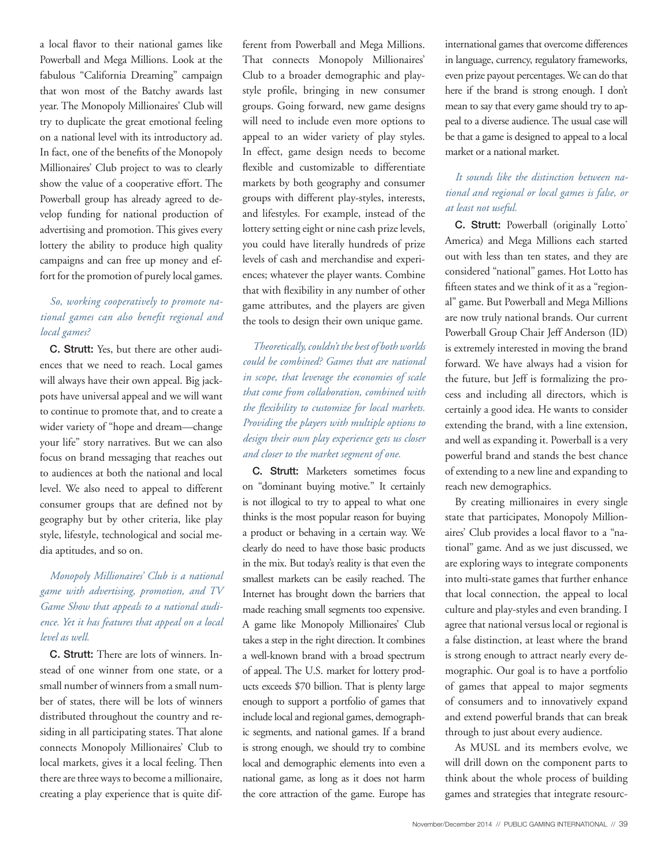a local flavor to their national games like Powerball and Mega Millions. Look at the fabulous "California Dreaming" campaign that won most of the Batchy awards last year. The Monopoly Millionaires' Club will try to duplicate the great emotional feeling on a national level with its introductory ad. In fact, one of the benefits of the Monopoly Millionaires' Club project to was to clearly show the value of a cooperative effort. The Powerball group has already agreed to develop funding for national production of advertising and promotion. This gives every lottery the ability to produce high quality campaigns and can free up money and effort for the promotion of purely local games.

#### *So, working cooperatively to promote national games can also benefit regional and local games?*

C. Strutt: Yes, but there are other audiences that we need to reach. Local games will always have their own appeal. Big jackpots have universal appeal and we will want to continue to promote that, and to create a wider variety of "hope and dream—change your life" story narratives. But we can also focus on brand messaging that reaches out to audiences at both the national and local level. We also need to appeal to different consumer groups that are defined not by geography but by other criteria, like play style, lifestyle, technological and social media aptitudes, and so on.

#### *Monopoly Millionaires' Club is a national game with advertising, promotion, and TV Game Show that appeals to a national audience. Yet it has features that appeal on a local level as well.*

C. Strutt: There are lots of winners. Instead of one winner from one state, or a small number of winners from a small number of states, there will be lots of winners distributed throughout the country and residing in all participating states. That alone connects Monopoly Millionaires' Club to local markets, gives it a local feeling. Then there are three ways to become a millionaire, creating a play experience that is quite dif-

ferent from Powerball and Mega Millions. That connects Monopoly Millionaires' Club to a broader demographic and playstyle profile, bringing in new consumer groups. Going forward, new game designs will need to include even more options to appeal to an wider variety of play styles. In effect, game design needs to become flexible and customizable to differentiate markets by both geography and consumer groups with different play-styles, interests, and lifestyles. For example, instead of the lottery setting eight or nine cash prize levels, you could have literally hundreds of prize levels of cash and merchandise and experiences; whatever the player wants. Combine that with flexibility in any number of other game attributes, and the players are given the tools to design their own unique game.

*Theoretically, couldn't the best of both worlds could be combined? Games that are national in scope, that leverage the economies of scale that come from collaboration, combined with the flexibility to customize for local markets. Providing the players with multiple options to design their own play experience gets us closer and closer to the market segment of one.* 

C. Strutt: Marketers sometimes focus on "dominant buying motive." It certainly is not illogical to try to appeal to what one thinks is the most popular reason for buying a product or behaving in a certain way. We clearly do need to have those basic products in the mix. But today's reality is that even the smallest markets can be easily reached. The Internet has brought down the barriers that made reaching small segments too expensive. A game like Monopoly Millionaires' Club takes a step in the right direction. It combines a well-known brand with a broad spectrum of appeal. The U.S. market for lottery products exceeds \$70 billion. That is plenty large enough to support a portfolio of games that include local and regional games, demographic segments, and national games. If a brand is strong enough, we should try to combine local and demographic elements into even a national game, as long as it does not harm the core attraction of the game. Europe has international games that overcome differences in language, currency, regulatory frameworks, even prize payout percentages. We can do that here if the brand is strong enough. I don't mean to say that every game should try to appeal to a diverse audience. The usual case will be that a game is designed to appeal to a local market or a national market.

#### *It sounds like the distinction between national and regional or local games is false, or at least not useful.*

C. Strutt: Powerball (originally Lotto\* America) and Mega Millions each started out with less than ten states, and they are considered "national" games. Hot Lotto has fifteen states and we think of it as a "regional" game. But Powerball and Mega Millions are now truly national brands. Our current Powerball Group Chair Jeff Anderson (ID) is extremely interested in moving the brand forward. We have always had a vision for the future, but Jeff is formalizing the process and including all directors, which is certainly a good idea. He wants to consider extending the brand, with a line extension, and well as expanding it. Powerball is a very powerful brand and stands the best chance of extending to a new line and expanding to reach new demographics.

By creating millionaires in every single state that participates, Monopoly Millionaires' Club provides a local flavor to a "national" game. And as we just discussed, we are exploring ways to integrate components into multi-state games that further enhance that local connection, the appeal to local culture and play-styles and even branding. I agree that national versus local or regional is a false distinction, at least where the brand is strong enough to attract nearly every demographic. Our goal is to have a portfolio of games that appeal to major segments of consumers and to innovatively expand and extend powerful brands that can break through to just about every audience.

As MUSL and its members evolve, we will drill down on the component parts to think about the whole process of building games and strategies that integrate resourc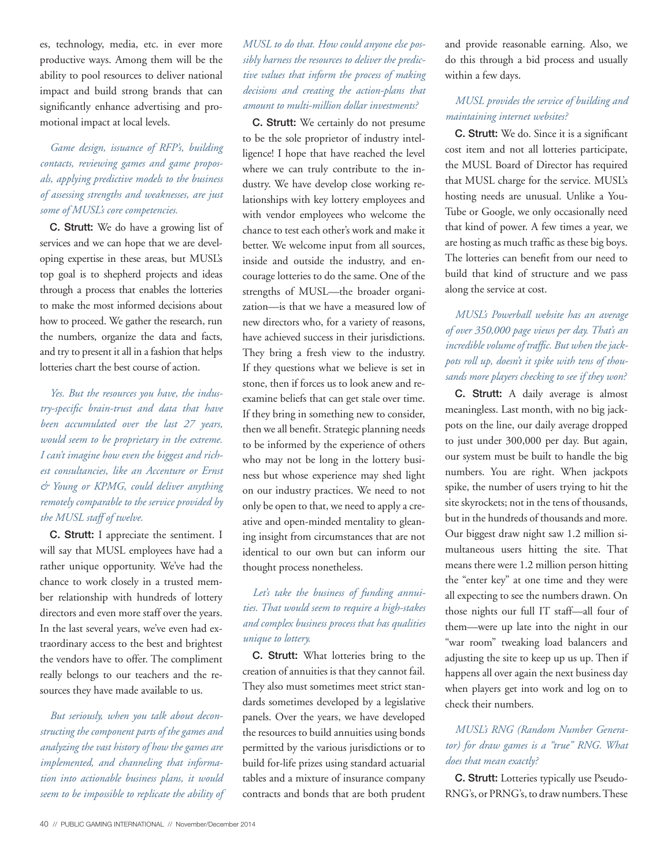es, technology, media, etc. in ever more productive ways. Among them will be the ability to pool resources to deliver national impact and build strong brands that can significantly enhance advertising and promotional impact at local levels.

#### *Game design, issuance of RFP's, building contacts, reviewing games and game proposals, applying predictive models to the business of assessing strengths and weaknesses, are just some of MUSL's core competencies.*

C. Strutt: We do have a growing list of services and we can hope that we are developing expertise in these areas, but MUSL's top goal is to shepherd projects and ideas through a process that enables the lotteries to make the most informed decisions about how to proceed. We gather the research, run the numbers, organize the data and facts, and try to present it all in a fashion that helps lotteries chart the best course of action.

*Yes. But the resources you have, the industry-specific brain-trust and data that have been accumulated over the last 27 years, would seem to be proprietary in the extreme. I can't imagine how even the biggest and richest consultancies, like an Accenture or Ernst & Young or KPMG, could deliver anything remotely comparable to the service provided by the MUSL staff of twelve.* 

C. Strutt: I appreciate the sentiment. I will say that MUSL employees have had a rather unique opportunity. We've had the chance to work closely in a trusted member relationship with hundreds of lottery directors and even more staff over the years. In the last several years, we've even had extraordinary access to the best and brightest the vendors have to offer. The compliment really belongs to our teachers and the resources they have made available to us.

*But seriously, when you talk about deconstructing the component parts of the games and analyzing the vast history of how the games are implemented, and channeling that information into actionable business plans, it would seem to be impossible to replicate the ability of* 

#### *MUSL to do that. How could anyone else possibly harness the resources to deliver the predictive values that inform the process of making decisions and creating the action-plans that amount to multi-million dollar investments?*

C. Strutt: We certainly do not presume to be the sole proprietor of industry intelligence! I hope that have reached the level where we can truly contribute to the industry. We have develop close working relationships with key lottery employees and with vendor employees who welcome the chance to test each other's work and make it better. We welcome input from all sources, inside and outside the industry, and encourage lotteries to do the same. One of the strengths of MUSL—the broader organization—is that we have a measured low of new directors who, for a variety of reasons, have achieved success in their jurisdictions. They bring a fresh view to the industry. If they questions what we believe is set in stone, then if forces us to look anew and reexamine beliefs that can get stale over time. If they bring in something new to consider, then we all benefit. Strategic planning needs to be informed by the experience of others who may not be long in the lottery business but whose experience may shed light on our industry practices. We need to not only be open to that, we need to apply a creative and open-minded mentality to gleaning insight from circumstances that are not identical to our own but can inform our thought process nonetheless.

#### *Let's take the business of funding annuities. That would seem to require a high-stakes and complex business process that has qualities unique to lottery.*

C. Strutt: What lotteries bring to the creation of annuities is that they cannot fail. They also must sometimes meet strict standards sometimes developed by a legislative panels. Over the years, we have developed the resources to build annuities using bonds permitted by the various jurisdictions or to build for-life prizes using standard actuarial tables and a mixture of insurance company contracts and bonds that are both prudent and provide reasonable earning. Also, we do this through a bid process and usually within a few days.

#### *MUSL provides the service of building and maintaining internet websites?*

C. Strutt: We do. Since it is a significant cost item and not all lotteries participate, the MUSL Board of Director has required that MUSL charge for the service. MUSL's hosting needs are unusual. Unlike a You-Tube or Google, we only occasionally need that kind of power. A few times a year, we are hosting as much traffic as these big boys. The lotteries can benefit from our need to build that kind of structure and we pass along the service at cost.

#### *MUSL's Powerball website has an average of over 350,000 page views per day. That's an incredible volume of traffic. But when the jackpots roll up, doesn't it spike with tens of thousands more players checking to see if they won?*

C. Strutt: A daily average is almost meaningless. Last month, with no big jackpots on the line, our daily average dropped to just under 300,000 per day. But again, our system must be built to handle the big numbers. You are right. When jackpots spike, the number of users trying to hit the site skyrockets; not in the tens of thousands, but in the hundreds of thousands and more. Our biggest draw night saw 1.2 million simultaneous users hitting the site. That means there were 1.2 million person hitting the "enter key" at one time and they were all expecting to see the numbers drawn. On those nights our full IT staff—all four of them—were up late into the night in our "war room" tweaking load balancers and adjusting the site to keep up us up. Then if happens all over again the next business day when players get into work and log on to check their numbers.

### *MUSL's RNG (Random Number Generator) for draw games is a "true" RNG. What does that mean exactly?*

C. Strutt: Lotteries typically use Pseudo-RNG's, or PRNG's, to draw numbers. These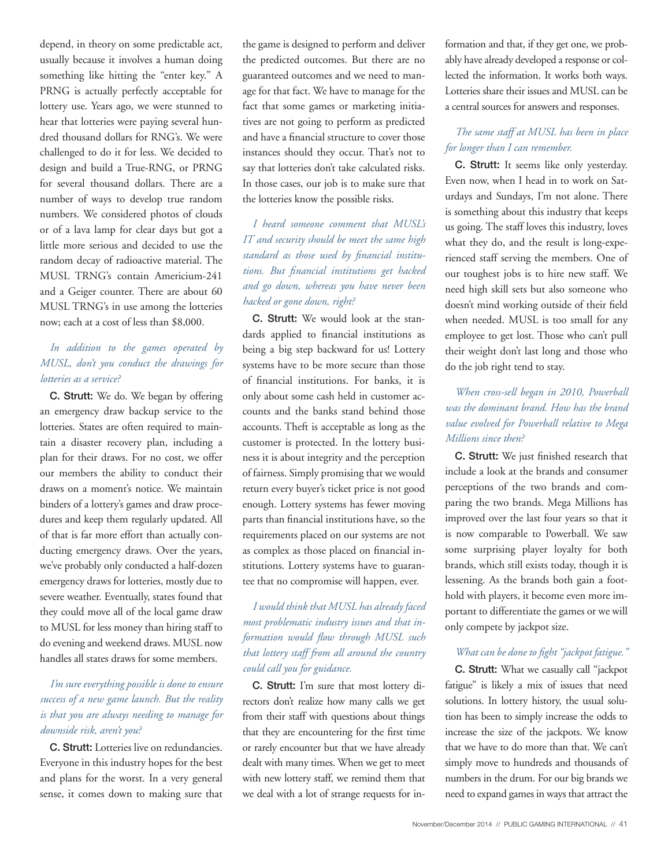depend, in theory on some predictable act, usually because it involves a human doing something like hitting the "enter key." A PRNG is actually perfectly acceptable for lottery use. Years ago, we were stunned to hear that lotteries were paying several hundred thousand dollars for RNG's. We were challenged to do it for less. We decided to design and build a True-RNG, or PRNG for several thousand dollars. There are a number of ways to develop true random numbers. We considered photos of clouds or of a lava lamp for clear days but got a little more serious and decided to use the random decay of radioactive material. The MUSL TRNG's contain Americium-241 and a Geiger counter. There are about 60 MUSL TRNG's in use among the lotteries now; each at a cost of less than \$8,000.

#### *In addition to the games operated by MUSL, don't you conduct the drawings for lotteries as a service?*

C. Strutt: We do. We began by offering an emergency draw backup service to the lotteries. States are often required to maintain a disaster recovery plan, including a plan for their draws. For no cost, we offer our members the ability to conduct their draws on a moment's notice. We maintain binders of a lottery's games and draw procedures and keep them regularly updated. All of that is far more effort than actually conducting emergency draws. Over the years, we've probably only conducted a half-dozen emergency draws for lotteries, mostly due to severe weather. Eventually, states found that they could move all of the local game draw to MUSL for less money than hiring staff to do evening and weekend draws. MUSL now handles all states draws for some members.

#### *I'm sure everything possible is done to ensure success of a new game launch. But the reality is that you are always needing to manage for downside risk, aren't you?*

C. Strutt: Lotteries live on redundancies. Everyone in this industry hopes for the best and plans for the worst. In a very general sense, it comes down to making sure that the game is designed to perform and deliver the predicted outcomes. But there are no guaranteed outcomes and we need to manage for that fact. We have to manage for the fact that some games or marketing initiatives are not going to perform as predicted and have a financial structure to cover those instances should they occur. That's not to say that lotteries don't take calculated risks. In those cases, our job is to make sure that the lotteries know the possible risks.

*I heard someone comment that MUSL's IT and security should be meet the same high standard as those used by financial institutions. But financial institutions get hacked and go down, whereas you have never been hacked or gone down, right?* 

C. Strutt: We would look at the standards applied to financial institutions as being a big step backward for us! Lottery systems have to be more secure than those of financial institutions. For banks, it is only about some cash held in customer accounts and the banks stand behind those accounts. Theft is acceptable as long as the customer is protected. In the lottery business it is about integrity and the perception of fairness. Simply promising that we would return every buyer's ticket price is not good enough. Lottery systems has fewer moving parts than financial institutions have, so the requirements placed on our systems are not as complex as those placed on financial institutions. Lottery systems have to guarantee that no compromise will happen, ever.

*I would think that MUSL has already faced most problematic industry issues and that information would flow through MUSL such that lottery staff from all around the country could call you for guidance.*

C. Strutt: I'm sure that most lottery directors don't realize how many calls we get from their staff with questions about things that they are encountering for the first time or rarely encounter but that we have already dealt with many times. When we get to meet with new lottery staff, we remind them that we deal with a lot of strange requests for information and that, if they get one, we probably have already developed a response or collected the information. It works both ways. Lotteries share their issues and MUSL can be a central sources for answers and responses.

#### *The same staff at MUSL has been in place for longer than I can remember.*

C. Strutt: It seems like only yesterday. Even now, when I head in to work on Saturdays and Sundays, I'm not alone. There is something about this industry that keeps us going. The staff loves this industry, loves what they do, and the result is long-experienced staff serving the members. One of our toughest jobs is to hire new staff. We need high skill sets but also someone who doesn't mind working outside of their field when needed. MUSL is too small for any employee to get lost. Those who can't pull their weight don't last long and those who do the job right tend to stay.

#### *When cross-sell began in 2010, Powerball was the dominant brand. How has the brand value evolved for Powerball relative to Mega Millions since then?*

C. Strutt: We just finished research that include a look at the brands and consumer perceptions of the two brands and comparing the two brands. Mega Millions has improved over the last four years so that it is now comparable to Powerball. We saw some surprising player loyalty for both brands, which still exists today, though it is lessening. As the brands both gain a foothold with players, it become even more important to differentiate the games or we will only compete by jackpot size.

#### *What can be done to fight "jackpot fatigue."*

C. Strutt: What we casually call "jackpot fatigue" is likely a mix of issues that need solutions. In lottery history, the usual solution has been to simply increase the odds to increase the size of the jackpots. We know that we have to do more than that. We can't simply move to hundreds and thousands of numbers in the drum. For our big brands we need to expand games in ways that attract the